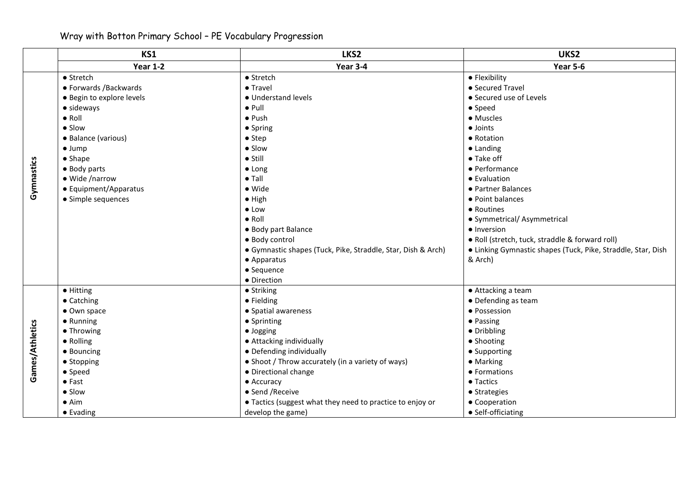## Wray with Botton Primary School – PE Vocabulary Progression

|                 | KS1                       | LKS2                                                         | UKS2                                                         |
|-----------------|---------------------------|--------------------------------------------------------------|--------------------------------------------------------------|
|                 | <b>Year 1-2</b>           | Year 3-4                                                     | <b>Year 5-6</b>                                              |
| Gymnastics      | • Stretch                 | • Stretch                                                    | • Flexibility                                                |
|                 | • Forwards / Backwards    | $\bullet$ Travel                                             | • Secured Travel                                             |
|                 | · Begin to explore levels | • Understand levels                                          | • Secured use of Levels                                      |
|                 | • sideways                | $\bullet$ Pull                                               | $\bullet$ Speed                                              |
|                 | $\bullet$ Roll            | $\bullet$ Push                                               | • Muscles                                                    |
|                 | $\bullet$ Slow            | • Spring                                                     | $\bullet$ Joints                                             |
|                 | · Balance (various)       | $\bullet$ Step                                               | • Rotation                                                   |
|                 | $\bullet$ Jump            | • Slow                                                       | $\bullet$ Landing                                            |
|                 | $\bullet$ Shape           | $\bullet$ Still                                              | • Take off                                                   |
|                 | • Body parts              | $\bullet$ Long                                               | • Performance                                                |
|                 | • Wide /narrow            | $\bullet$ Tall                                               | • Evaluation                                                 |
|                 | • Equipment/Apparatus     | • Wide                                                       | • Partner Balances                                           |
|                 | • Simple sequences        | $\bullet$ High                                               | • Point balances                                             |
|                 |                           | $\bullet$ Low                                                | • Routines                                                   |
|                 |                           | $\bullet$ Roll                                               | • Symmetrical/ Asymmetrical                                  |
|                 |                           | • Body part Balance                                          | • Inversion                                                  |
|                 |                           | · Body control                                               | • Roll (stretch, tuck, straddle & forward roll)              |
|                 |                           | • Gymnastic shapes (Tuck, Pike, Straddle, Star, Dish & Arch) | • Linking Gymnastic shapes (Tuck, Pike, Straddle, Star, Dish |
|                 |                           | • Apparatus                                                  | & Arch)                                                      |
|                 |                           | • Sequence                                                   |                                                              |
|                 |                           | • Direction                                                  |                                                              |
|                 | $\bullet$ Hitting         | • Striking                                                   | • Attacking a team                                           |
|                 | • Catching                | • Fielding                                                   | • Defending as team                                          |
|                 | • Own space               | • Spatial awareness                                          | · Possession                                                 |
| Games/Athletics | • Running                 | • Sprinting                                                  | • Passing                                                    |
|                 | • Throwing                | · Jogging                                                    | • Dribbling                                                  |
|                 | • Rolling                 | • Attacking individually                                     | • Shooting                                                   |
|                 | • Bouncing                | • Defending individually                                     | • Supporting                                                 |
|                 | • Stopping                | • Shoot / Throw accurately (in a variety of ways)            | • Marking                                                    |
|                 | • Speed                   | • Directional change                                         | • Formations                                                 |
|                 | $\bullet$ Fast            | • Accuracy                                                   | • Tactics                                                    |
|                 | • Slow                    | • Send / Receive                                             | • Strategies                                                 |
|                 | $\bullet$ Aim             | • Tactics (suggest what they need to practice to enjoy or    | • Cooperation                                                |
|                 | • Evading                 | develop the game)                                            | • Self-officiating                                           |